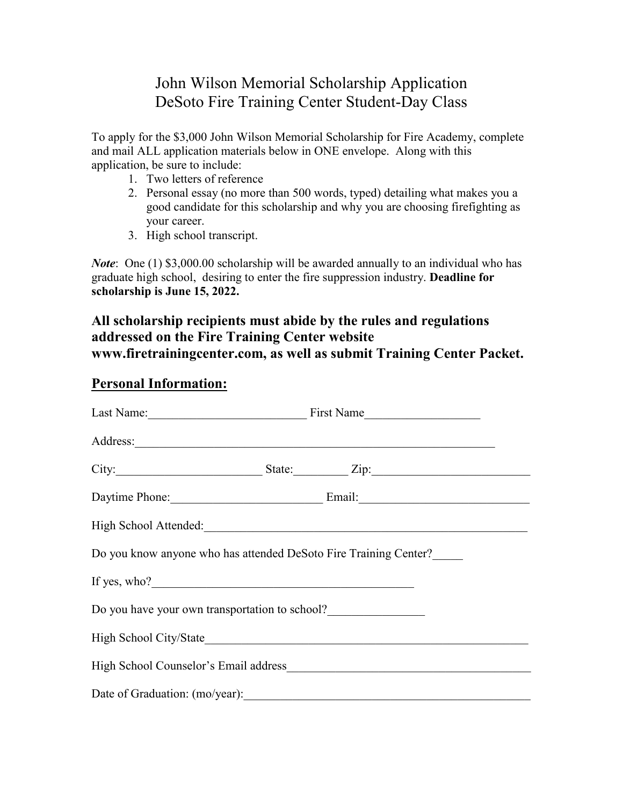## John Wilson Memorial Scholarship Application DeSoto Fire Training Center Student-Day Class

To apply for the \$3,000 John Wilson Memorial Scholarship for Fire Academy, complete and mail ALL application materials below in ONE envelope. Along with this application, be sure to include:

- 1. Two letters of reference
- 2. Personal essay (no more than 500 words, typed) detailing what makes you a good candidate for this scholarship and why you are choosing firefighting as your career.
- 3. High school transcript.

*Note*: One (1) \$3,000.00 scholarship will be awarded annually to an individual who has graduate high school, desiring to enter the fire suppression industry. **Deadline for scholarship is June 15, 2022.** 

## **All scholarship recipients must abide by the rules and regulations addressed on the Fire Training Center website www.firetrainingcenter.com, as well as submit Training Center Packet.**

## **Personal Information:**

| Last Name: First Name                                                                                                                                                                                                                |  |  |  |  |
|--------------------------------------------------------------------------------------------------------------------------------------------------------------------------------------------------------------------------------------|--|--|--|--|
| Address: <u>and a series of the series of the series of the series of the series of the series of the series of the series of the series of the series of the series of the series of the series of the series of the series of </u> |  |  |  |  |
| City: State: Zip: Zip:                                                                                                                                                                                                               |  |  |  |  |
| Daytime Phone: Email: Email:                                                                                                                                                                                                         |  |  |  |  |
|                                                                                                                                                                                                                                      |  |  |  |  |
| Do you know anyone who has attended DeSoto Fire Training Center?                                                                                                                                                                     |  |  |  |  |
|                                                                                                                                                                                                                                      |  |  |  |  |
| Do you have your own transportation to school?                                                                                                                                                                                       |  |  |  |  |
|                                                                                                                                                                                                                                      |  |  |  |  |
|                                                                                                                                                                                                                                      |  |  |  |  |
| Date of Graduation: (mo/year):                                                                                                                                                                                                       |  |  |  |  |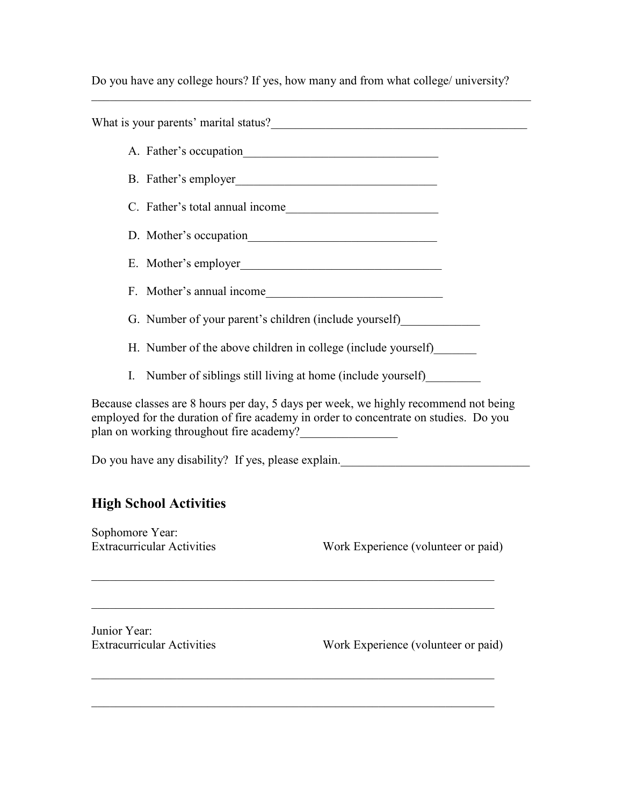Do you have any college hours? If yes, how many and from what college/ university?

 $\mathcal{L}_\mathcal{L} = \mathcal{L}_\mathcal{L} = \mathcal{L}_\mathcal{L} = \mathcal{L}_\mathcal{L} = \mathcal{L}_\mathcal{L} = \mathcal{L}_\mathcal{L} = \mathcal{L}_\mathcal{L} = \mathcal{L}_\mathcal{L} = \mathcal{L}_\mathcal{L} = \mathcal{L}_\mathcal{L} = \mathcal{L}_\mathcal{L} = \mathcal{L}_\mathcal{L} = \mathcal{L}_\mathcal{L} = \mathcal{L}_\mathcal{L} = \mathcal{L}_\mathcal{L} = \mathcal{L}_\mathcal{L} = \mathcal{L}_\mathcal{L}$ 

|                                                                                                                                                                                                                                                                                                                                                                                 |                                   | What is your parents' marital status? |  |  |                 |                               |  |
|---------------------------------------------------------------------------------------------------------------------------------------------------------------------------------------------------------------------------------------------------------------------------------------------------------------------------------------------------------------------------------|-----------------------------------|---------------------------------------|--|--|-----------------|-------------------------------|--|
|                                                                                                                                                                                                                                                                                                                                                                                 |                                   |                                       |  |  |                 |                               |  |
|                                                                                                                                                                                                                                                                                                                                                                                 | B. Father's employer              |                                       |  |  |                 |                               |  |
|                                                                                                                                                                                                                                                                                                                                                                                 | C. Father's total annual income   |                                       |  |  |                 |                               |  |
|                                                                                                                                                                                                                                                                                                                                                                                 |                                   |                                       |  |  |                 |                               |  |
|                                                                                                                                                                                                                                                                                                                                                                                 |                                   |                                       |  |  |                 |                               |  |
|                                                                                                                                                                                                                                                                                                                                                                                 | F. Mother's annual income         |                                       |  |  |                 |                               |  |
| G. Number of your parent's children (include yourself)                                                                                                                                                                                                                                                                                                                          |                                   |                                       |  |  |                 |                               |  |
| H. Number of the above children in college (include yourself)                                                                                                                                                                                                                                                                                                                   |                                   |                                       |  |  |                 |                               |  |
| Number of siblings still living at home (include yourself)<br>I.<br>Because classes are 8 hours per day, 5 days per week, we highly recommend not being<br>employed for the duration of fire academy in order to concentrate on studies. Do you<br>plan on working throughout fire academy?<br>Do you have any disability? If yes, please explain._____________________________ |                                   |                                       |  |  |                 |                               |  |
|                                                                                                                                                                                                                                                                                                                                                                                 |                                   |                                       |  |  |                 | <b>High School Activities</b> |  |
|                                                                                                                                                                                                                                                                                                                                                                                 |                                   |                                       |  |  | Sophomore Year: |                               |  |
|                                                                                                                                                                                                                                                                                                                                                                                 | <b>Extracurricular Activities</b> | Work Experience (volunteer or paid)   |  |  |                 |                               |  |
| Junior Year:                                                                                                                                                                                                                                                                                                                                                                    |                                   |                                       |  |  |                 |                               |  |
|                                                                                                                                                                                                                                                                                                                                                                                 | <b>Extracurricular Activities</b> | Work Experience (volunteer or paid)   |  |  |                 |                               |  |
|                                                                                                                                                                                                                                                                                                                                                                                 |                                   |                                       |  |  |                 |                               |  |
|                                                                                                                                                                                                                                                                                                                                                                                 |                                   |                                       |  |  |                 |                               |  |